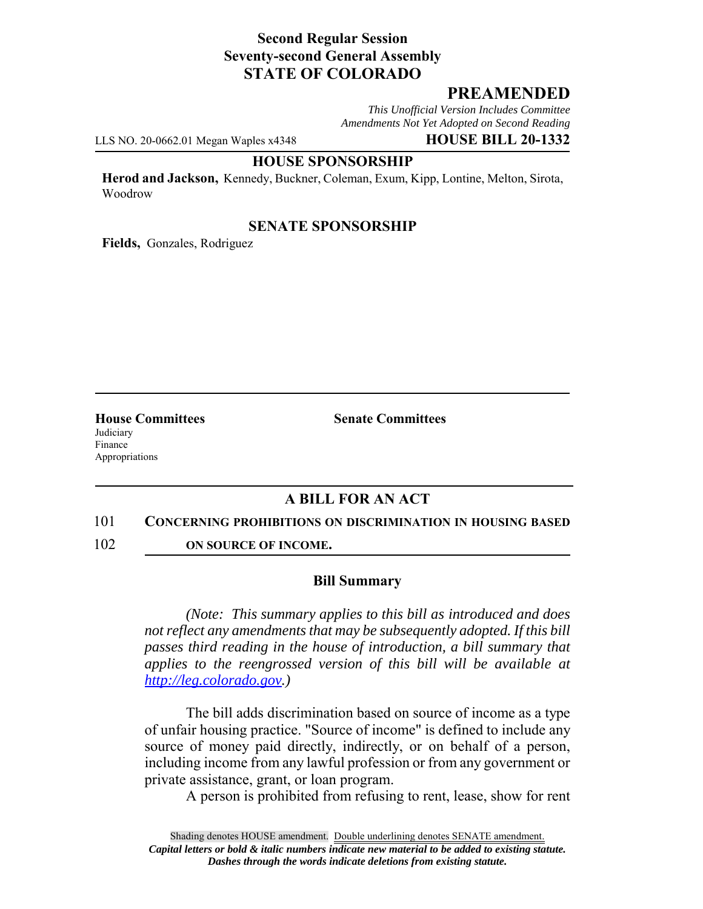## **Second Regular Session Seventy-second General Assembly STATE OF COLORADO**

# **PREAMENDED**

*This Unofficial Version Includes Committee Amendments Not Yet Adopted on Second Reading*

LLS NO. 20-0662.01 Megan Waples x4348 **HOUSE BILL 20-1332**

#### **HOUSE SPONSORSHIP**

**Herod and Jackson,** Kennedy, Buckner, Coleman, Exum, Kipp, Lontine, Melton, Sirota, Woodrow

## **SENATE SPONSORSHIP**

**Fields,** Gonzales, Rodriguez

Judiciary Finance Appropriations

**House Committees Senate Committees** 

# **A BILL FOR AN ACT**

#### 101 **CONCERNING PROHIBITIONS ON DISCRIMINATION IN HOUSING BASED**

102 **ON SOURCE OF INCOME.**

## **Bill Summary**

*(Note: This summary applies to this bill as introduced and does not reflect any amendments that may be subsequently adopted. If this bill passes third reading in the house of introduction, a bill summary that applies to the reengrossed version of this bill will be available at http://leg.colorado.gov.)*

The bill adds discrimination based on source of income as a type of unfair housing practice. "Source of income" is defined to include any source of money paid directly, indirectly, or on behalf of a person, including income from any lawful profession or from any government or private assistance, grant, or loan program.

A person is prohibited from refusing to rent, lease, show for rent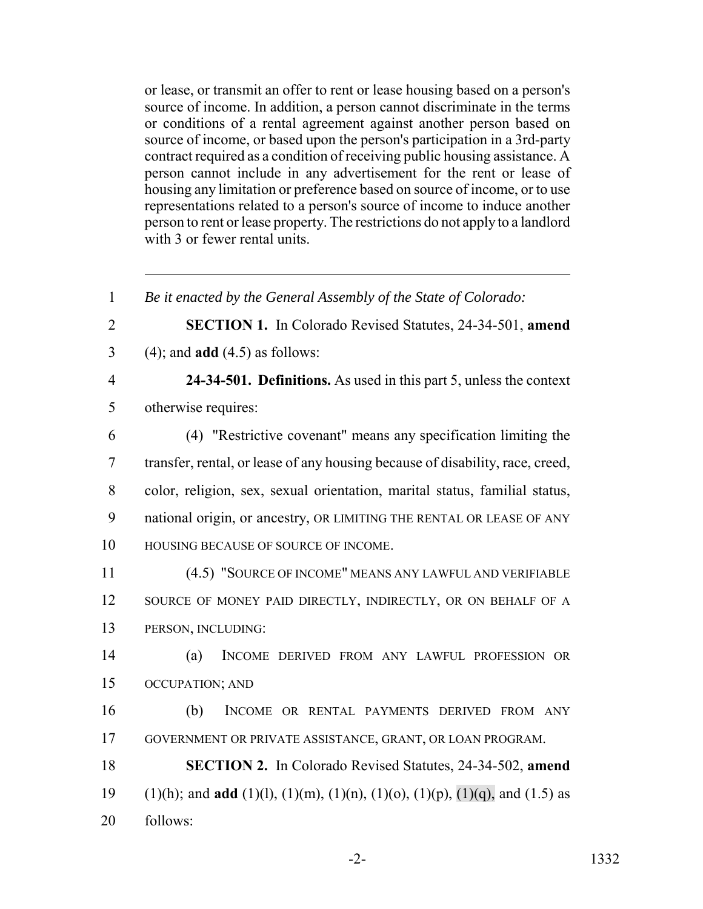or lease, or transmit an offer to rent or lease housing based on a person's source of income. In addition, a person cannot discriminate in the terms or conditions of a rental agreement against another person based on source of income, or based upon the person's participation in a 3rd-party contract required as a condition of receiving public housing assistance. A person cannot include in any advertisement for the rent or lease of housing any limitation or preference based on source of income, or to use representations related to a person's source of income to induce another person to rent or lease property. The restrictions do not apply to a landlord with 3 or fewer rental units.

 *Be it enacted by the General Assembly of the State of Colorado:* **SECTION 1.** In Colorado Revised Statutes, 24-34-501, **amend** (4); and **add** (4.5) as follows: **24-34-501. Definitions.** As used in this part 5, unless the context otherwise requires: (4) "Restrictive covenant" means any specification limiting the transfer, rental, or lease of any housing because of disability, race, creed, color, religion, sex, sexual orientation, marital status, familial status, national origin, or ancestry, OR LIMITING THE RENTAL OR LEASE OF ANY HOUSING BECAUSE OF SOURCE OF INCOME. (4.5) "SOURCE OF INCOME" MEANS ANY LAWFUL AND VERIFIABLE 12 SOURCE OF MONEY PAID DIRECTLY, INDIRECTLY, OR ON BEHALF OF A PERSON, INCLUDING: (a) INCOME DERIVED FROM ANY LAWFUL PROFESSION OR OCCUPATION; AND (b) INCOME OR RENTAL PAYMENTS DERIVED FROM ANY GOVERNMENT OR PRIVATE ASSISTANCE, GRANT, OR LOAN PROGRAM. **SECTION 2.** In Colorado Revised Statutes, 24-34-502, **amend** (1)(h); and **add** (1)(l), (1)(m), (1)(n), (1)(o), (1)(p), (1)(q), and (1.5) as follows:

-2- 1332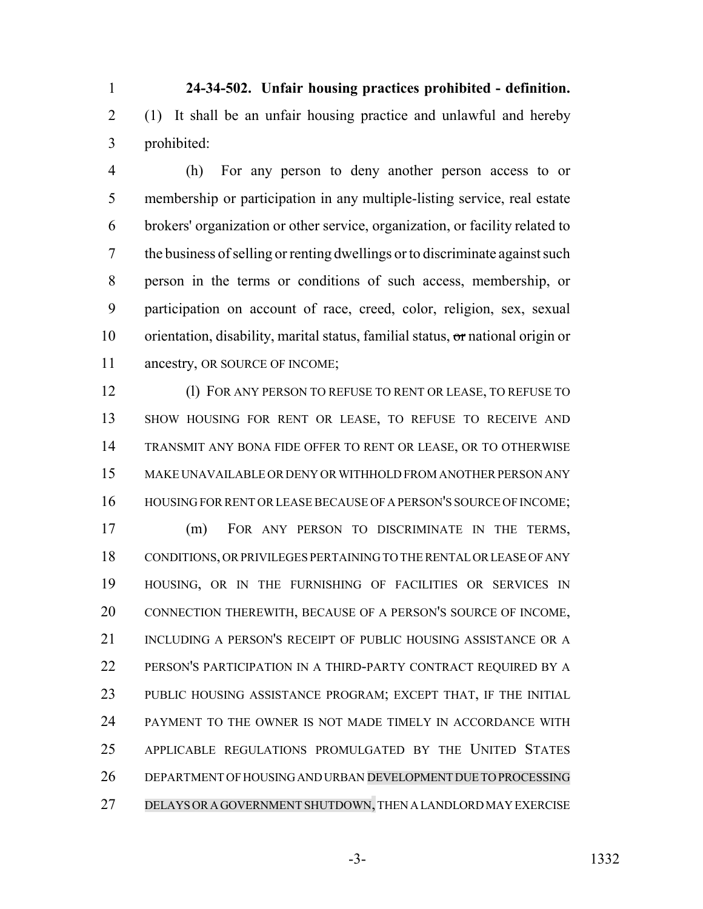**24-34-502. Unfair housing practices prohibited - definition.** (1) It shall be an unfair housing practice and unlawful and hereby prohibited:

 (h) For any person to deny another person access to or membership or participation in any multiple-listing service, real estate brokers' organization or other service, organization, or facility related to the business of selling or renting dwellings or to discriminate against such person in the terms or conditions of such access, membership, or participation on account of race, creed, color, religion, sex, sexual orientation, disability, marital status, familial status, or national origin or 11 ancestry, OR SOURCE OF INCOME;

 (l) FOR ANY PERSON TO REFUSE TO RENT OR LEASE, TO REFUSE TO SHOW HOUSING FOR RENT OR LEASE, TO REFUSE TO RECEIVE AND TRANSMIT ANY BONA FIDE OFFER TO RENT OR LEASE, OR TO OTHERWISE MAKE UNAVAILABLE OR DENY OR WITHHOLD FROM ANOTHER PERSON ANY HOUSING FOR RENT OR LEASE BECAUSE OF A PERSON'S SOURCE OF INCOME;

 (m) FOR ANY PERSON TO DISCRIMINATE IN THE TERMS, CONDITIONS, OR PRIVILEGES PERTAINING TO THE RENTAL OR LEASE OF ANY HOUSING, OR IN THE FURNISHING OF FACILITIES OR SERVICES IN CONNECTION THEREWITH, BECAUSE OF A PERSON'S SOURCE OF INCOME, INCLUDING A PERSON'S RECEIPT OF PUBLIC HOUSING ASSISTANCE OR A PERSON'S PARTICIPATION IN A THIRD-PARTY CONTRACT REQUIRED BY A PUBLIC HOUSING ASSISTANCE PROGRAM; EXCEPT THAT, IF THE INITIAL PAYMENT TO THE OWNER IS NOT MADE TIMELY IN ACCORDANCE WITH APPLICABLE REGULATIONS PROMULGATED BY THE UNITED STATES DEPARTMENT OF HOUSING AND URBAN DEVELOPMENT DUE TO PROCESSING DELAYS OR A GOVERNMENT SHUTDOWN, THEN A LANDLORD MAY EXERCISE

-3- 1332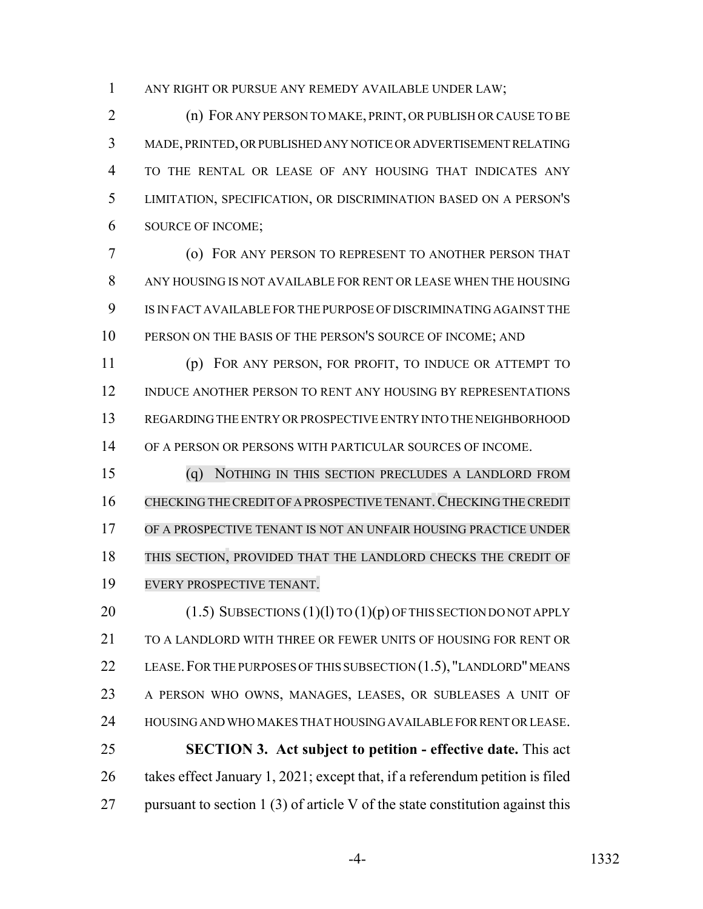ANY RIGHT OR PURSUE ANY REMEDY AVAILABLE UNDER LAW;

 (n) FOR ANY PERSON TO MAKE, PRINT, OR PUBLISH OR CAUSE TO BE MADE, PRINTED, OR PUBLISHED ANY NOTICE OR ADVERTISEMENT RELATING TO THE RENTAL OR LEASE OF ANY HOUSING THAT INDICATES ANY LIMITATION, SPECIFICATION, OR DISCRIMINATION BASED ON A PERSON'S SOURCE OF INCOME;

 (o) FOR ANY PERSON TO REPRESENT TO ANOTHER PERSON THAT ANY HOUSING IS NOT AVAILABLE FOR RENT OR LEASE WHEN THE HOUSING IS IN FACT AVAILABLE FOR THE PURPOSE OF DISCRIMINATING AGAINST THE 10 PERSON ON THE BASIS OF THE PERSON'S SOURCE OF INCOME; AND

 (p) FOR ANY PERSON, FOR PROFIT, TO INDUCE OR ATTEMPT TO INDUCE ANOTHER PERSON TO RENT ANY HOUSING BY REPRESENTATIONS REGARDING THE ENTRY OR PROSPECTIVE ENTRY INTO THE NEIGHBORHOOD OF A PERSON OR PERSONS WITH PARTICULAR SOURCES OF INCOME.

 (q) NOTHING IN THIS SECTION PRECLUDES A LANDLORD FROM 16 CHECKING THE CREDIT OF A PROSPECTIVE TENANT. CHECKING THE CREDIT OF A PROSPECTIVE TENANT IS NOT AN UNFAIR HOUSING PRACTICE UNDER THIS SECTION, PROVIDED THAT THE LANDLORD CHECKS THE CREDIT OF EVERY PROSPECTIVE TENANT.

20 (1.5) SUBSECTIONS (1)(1) TO (1)(p) OF THIS SECTION DO NOT APPLY 21 TO A LANDLORD WITH THREE OR FEWER UNITS OF HOUSING FOR RENT OR 22 LEASE. FOR THE PURPOSES OF THIS SUBSECTION (1.5), "LANDLORD" MEANS A PERSON WHO OWNS, MANAGES, LEASES, OR SUBLEASES A UNIT OF HOUSING AND WHO MAKES THAT HOUSING AVAILABLE FOR RENT OR LEASE. **SECTION 3. Act subject to petition - effective date.** This act takes effect January 1, 2021; except that, if a referendum petition is filed 27 pursuant to section 1 (3) of article V of the state constitution against this